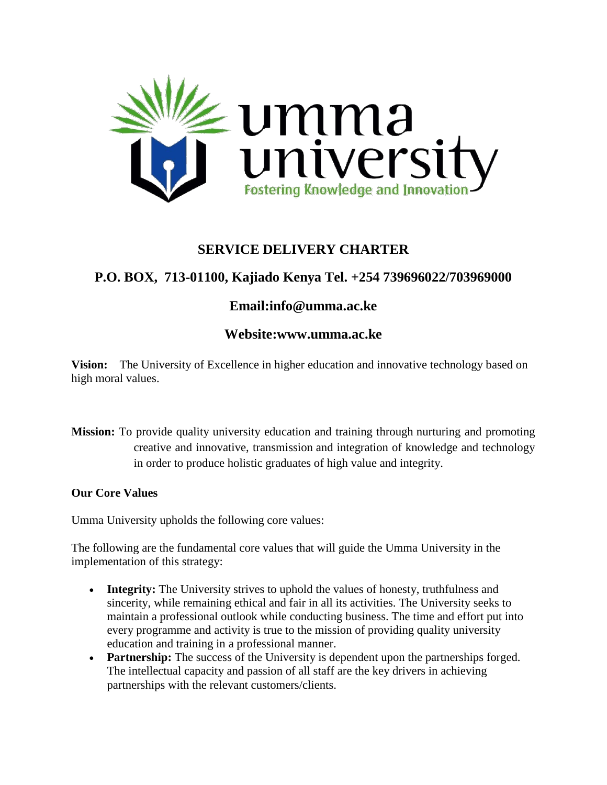

## **SERVICE DELIVERY CHARTER**

# **P.O. BOX, 713-01100, Kajiado Kenya Tel. +254 739696022/703969000**

## **Email:info@umma.ac.ke**

#### **Website:www.umma.ac.ke**

**Vision:** The University of Excellence in higher education and innovative technology based on high moral values.

**Mission:** To provide quality university education and training through nurturing and promoting creative and innovative, transmission and integration of knowledge and technology in order to produce holistic graduates of high value and integrity.

#### **Our Core Values**

Umma University upholds the following core values:

The following are the fundamental core values that will guide the Umma University in the implementation of this strategy:

- **Integrity:** The University strives to uphold the values of honesty, truthfulness and sincerity, while remaining ethical and fair in all its activities. The University seeks to maintain a professional outlook while conducting business. The time and effort put into every programme and activity is true to the mission of providing quality university education and training in a professional manner.
- **Partnership:** The success of the University is dependent upon the partnerships forged. The intellectual capacity and passion of all staff are the key drivers in achieving partnerships with the relevant customers/clients.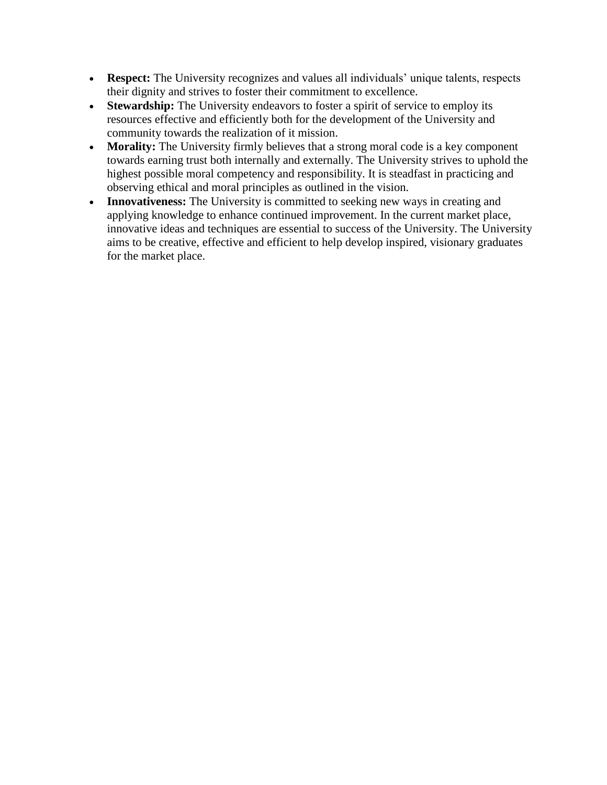- **Respect:** The University recognizes and values all individuals' unique talents, respects their dignity and strives to foster their commitment to excellence.
- Stewardship: The University endeavors to foster a spirit of service to employ its resources effective and efficiently both for the development of the University and community towards the realization of it mission.
- **Morality:** The University firmly believes that a strong moral code is a key component towards earning trust both internally and externally. The University strives to uphold the highest possible moral competency and responsibility. It is steadfast in practicing and observing ethical and moral principles as outlined in the vision.
- **Innovativeness:** The University is committed to seeking new ways in creating and applying knowledge to enhance continued improvement. In the current market place, innovative ideas and techniques are essential to success of the University. The University aims to be creative, effective and efficient to help develop inspired, visionary graduates for the market place.